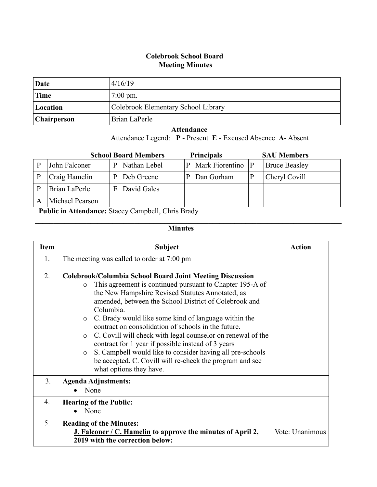## **Colebrook School Board Meeting Minutes**

| Date               | 4/16/19                             |
|--------------------|-------------------------------------|
| Time               | $7:00 \text{ pm}$ .                 |
| Location           | Colebrook Elementary School Library |
| <b>Chairperson</b> | Brian LaPerle                       |

 **Attendance**

Attendance Legend: **P** - Present **E** - Excused Absence **A**- Absent

|   | <b>Principals</b><br><b>School Board Members</b> |   |              |   |                 |  | <b>SAU Members</b>   |
|---|--------------------------------------------------|---|--------------|---|-----------------|--|----------------------|
| P | John Falconer                                    | D | Nathan Lebel | P | Mark Fiorentino |  | <b>Bruce Beasley</b> |
| P | Craig Hamelin                                    | D | Deb Greene   | P | Dan Gorham      |  | Cheryl Covill        |
| P | Brian LaPerle                                    | E | David Gales  |   |                 |  |                      |
|   | Michael Pearson                                  |   |              |   |                 |  |                      |
|   | $1.11 \div 1$<br>$\sim$<br>$\sim$<br>_ _ _ _ _ _ |   |              |   |                 |  |                      |

 **Public in Attendance:** Stacey Campbell, Chris Brady

## **Minutes**

 $\mathcal{L}_\mathcal{L} = \{ \mathcal{L}_\mathcal{L} = \{ \mathcal{L}_\mathcal{L} = \{ \mathcal{L}_\mathcal{L} = \{ \mathcal{L}_\mathcal{L} = \{ \mathcal{L}_\mathcal{L} = \{ \mathcal{L}_\mathcal{L} = \{ \mathcal{L}_\mathcal{L} = \{ \mathcal{L}_\mathcal{L} = \{ \mathcal{L}_\mathcal{L} = \{ \mathcal{L}_\mathcal{L} = \{ \mathcal{L}_\mathcal{L} = \{ \mathcal{L}_\mathcal{L} = \{ \mathcal{L}_\mathcal{L} = \{ \mathcal{L}_\mathcal{$ 

| <b>Item</b> | <b>Subject</b>                                                                                                                                                                                                                                                                                                                                                                                                                                                                                                                                                                                                                                                                            | Action          |
|-------------|-------------------------------------------------------------------------------------------------------------------------------------------------------------------------------------------------------------------------------------------------------------------------------------------------------------------------------------------------------------------------------------------------------------------------------------------------------------------------------------------------------------------------------------------------------------------------------------------------------------------------------------------------------------------------------------------|-----------------|
| 1.          | The meeting was called to order at 7:00 pm                                                                                                                                                                                                                                                                                                                                                                                                                                                                                                                                                                                                                                                |                 |
| 2.          | <b>Colebrook/Columbia School Board Joint Meeting Discussion</b><br>This agreement is continued pursuant to Chapter 195-A of<br>$\circ$<br>the New Hampshire Revised Statutes Annotated, as<br>amended, between the School District of Colebrook and<br>Columbia.<br>C. Brady would like some kind of language within the<br>$\circ$<br>contract on consolidation of schools in the future.<br>C. Covill will check with legal counselor on renewal of the<br>$\circ$<br>contract for 1 year if possible instead of 3 years<br>S. Campbell would like to consider having all pre-schools<br>$\circ$<br>be accepted. C. Covill will re-check the program and see<br>what options they have. |                 |
| 3.          | <b>Agenda Adjustments:</b><br>None                                                                                                                                                                                                                                                                                                                                                                                                                                                                                                                                                                                                                                                        |                 |
| 4.          | <b>Hearing of the Public:</b><br>None                                                                                                                                                                                                                                                                                                                                                                                                                                                                                                                                                                                                                                                     |                 |
| 5.          | <b>Reading of the Minutes:</b><br>J. Falconer / C. Hamelin to approve the minutes of April 2,<br>2019 with the correction below:                                                                                                                                                                                                                                                                                                                                                                                                                                                                                                                                                          | Vote: Unanimous |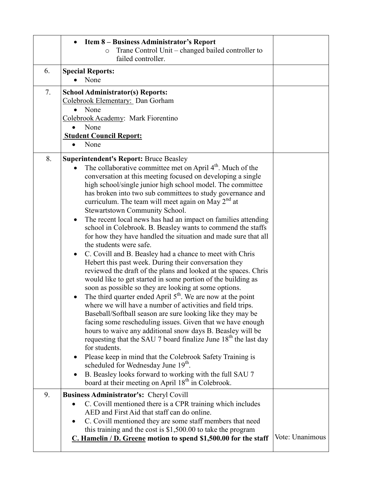|    | Item 8 – Business Administrator's Report<br>Trane Control Unit – changed bailed controller to<br>$\circ$<br>failed controller.                                                                                                                                                                                                                                                                                                                                                                                                                                                                                                                                                                                                                                                                                                                                                                                                                                                                                                                                                                                                                                                                                                                                                                                                                                                                                                                                                                                                                                                                                                                                                                |                 |
|----|-----------------------------------------------------------------------------------------------------------------------------------------------------------------------------------------------------------------------------------------------------------------------------------------------------------------------------------------------------------------------------------------------------------------------------------------------------------------------------------------------------------------------------------------------------------------------------------------------------------------------------------------------------------------------------------------------------------------------------------------------------------------------------------------------------------------------------------------------------------------------------------------------------------------------------------------------------------------------------------------------------------------------------------------------------------------------------------------------------------------------------------------------------------------------------------------------------------------------------------------------------------------------------------------------------------------------------------------------------------------------------------------------------------------------------------------------------------------------------------------------------------------------------------------------------------------------------------------------------------------------------------------------------------------------------------------------|-----------------|
| 6. | <b>Special Reports:</b><br>None                                                                                                                                                                                                                                                                                                                                                                                                                                                                                                                                                                                                                                                                                                                                                                                                                                                                                                                                                                                                                                                                                                                                                                                                                                                                                                                                                                                                                                                                                                                                                                                                                                                               |                 |
| 7. | <b>School Administrator(s) Reports:</b><br>Colebrook Elementary: Dan Gorham<br>None<br>Colebrook Academy: Mark Fiorentino<br>None<br>$\bullet$<br><b>Student Council Report:</b><br>None<br>$\bullet$                                                                                                                                                                                                                                                                                                                                                                                                                                                                                                                                                                                                                                                                                                                                                                                                                                                                                                                                                                                                                                                                                                                                                                                                                                                                                                                                                                                                                                                                                         |                 |
| 8. | <b>Superintendent's Report: Bruce Beasley</b><br>The collaborative committee met on April 4 <sup>th</sup> . Much of the<br>conversation at this meeting focused on developing a single<br>high school/single junior high school model. The committee<br>has broken into two sub committees to study governance and<br>curriculum. The team will meet again on May 2 <sup>nd</sup> at<br><b>Stewartstown Community School.</b><br>The recent local news has had an impact on families attending<br>$\bullet$<br>school in Colebrook. B. Beasley wants to commend the staffs<br>for how they have handled the situation and made sure that all<br>the students were safe.<br>C. Covill and B. Beasley had a chance to meet with Chris<br>$\bullet$<br>Hebert this past week. During their conversation they<br>reviewed the draft of the plans and looked at the spaces. Chris<br>would like to get started in some portion of the building as<br>soon as possible so they are looking at some options.<br>The third quarter ended April $5th$ . We are now at the point<br>$\bullet$<br>where we will have a number of activities and field trips.<br>Baseball/Softball season are sure looking like they may be<br>facing some rescheduling issues. Given that we have enough<br>hours to waive any additional snow days B. Beasley will be<br>requesting that the SAU 7 board finalize June 18 <sup>th</sup> the last day<br>for students.<br>Please keep in mind that the Colebrook Safety Training is<br>٠<br>scheduled for Wednesday June 19 <sup>th</sup> .<br>B. Beasley looks forward to working with the full SAU 7<br>board at their meeting on April 18 <sup>th</sup> in Colebrook. |                 |
| 9. | <b>Business Administrator's: Cheryl Covill</b><br>C. Covill mentioned there is a CPR training which includes                                                                                                                                                                                                                                                                                                                                                                                                                                                                                                                                                                                                                                                                                                                                                                                                                                                                                                                                                                                                                                                                                                                                                                                                                                                                                                                                                                                                                                                                                                                                                                                  |                 |
|    | AED and First Aid that staff can do online.<br>C. Covill mentioned they are some staff members that need<br>٠<br>this training and the cost is $$1,500.00$ to take the program<br>C. Hamelin / D. Greene motion to spend \$1,500.00 for the staff                                                                                                                                                                                                                                                                                                                                                                                                                                                                                                                                                                                                                                                                                                                                                                                                                                                                                                                                                                                                                                                                                                                                                                                                                                                                                                                                                                                                                                             | Vote: Unanimous |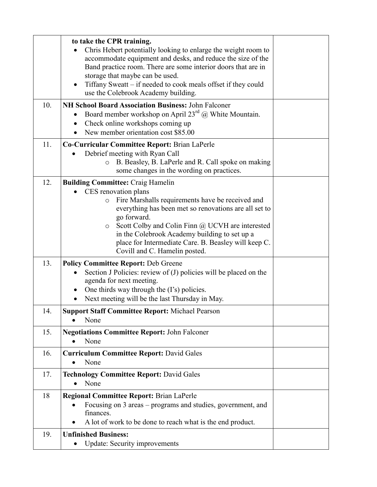|     | to take the CPR training.<br>Chris Hebert potentially looking to enlarge the weight room to<br>accommodate equipment and desks, and reduce the size of the<br>Band practice room. There are some interior doors that are in<br>storage that maybe can be used.<br>Tiffany Sweatt – if needed to cook meals offset if they could<br>use the Colebrook Academy building.                                           |  |
|-----|------------------------------------------------------------------------------------------------------------------------------------------------------------------------------------------------------------------------------------------------------------------------------------------------------------------------------------------------------------------------------------------------------------------|--|
| 10. | NH School Board Association Business: John Falconer<br>Board member workshop on April $23^{rd}$ @ White Mountain.<br>Check online workshops coming up<br>New member orientation cost \$85.00<br>$\bullet$                                                                                                                                                                                                        |  |
| 11. | Co-Curricular Committee Report: Brian LaPerle<br>Debrief meeting with Ryan Call<br>B. Beasley, B. LaPerle and R. Call spoke on making<br>$\circ$<br>some changes in the wording on practices.                                                                                                                                                                                                                    |  |
| 12. | <b>Building Committee: Craig Hamelin</b><br>CES renovation plans<br>Fire Marshalls requirements have be received and<br>$\circ$<br>everything has been met so renovations are all set to<br>go forward.<br>Scott Colby and Colin Finn @ UCVH are interested<br>$\circ$<br>in the Colebrook Academy building to set up a<br>place for Intermediate Care. B. Beasley will keep C.<br>Covill and C. Hamelin posted. |  |
| 13. | <b>Policy Committee Report: Deb Greene</b><br>Section J Policies: review of (J) policies will be placed on the<br>agenda for next meeting.<br>One thirds way through the (I's) policies.<br>Next meeting will be the last Thursday in May.                                                                                                                                                                       |  |
| 14. | <b>Support Staff Committee Report: Michael Pearson</b><br>None                                                                                                                                                                                                                                                                                                                                                   |  |
| 15. | <b>Negotiations Committee Report: John Falconer</b><br>None                                                                                                                                                                                                                                                                                                                                                      |  |
| 16. | <b>Curriculum Committee Report: David Gales</b><br>None<br>$\bullet$                                                                                                                                                                                                                                                                                                                                             |  |
| 17. | <b>Technology Committee Report: David Gales</b><br>None<br>$\bullet$                                                                                                                                                                                                                                                                                                                                             |  |
| 18  | <b>Regional Committee Report: Brian LaPerle</b><br>Focusing on 3 areas – programs and studies, government, and<br>$\bullet$<br>finances.<br>A lot of work to be done to reach what is the end product.                                                                                                                                                                                                           |  |
| 19. | <b>Unfinished Business:</b><br><b>Update: Security improvements</b>                                                                                                                                                                                                                                                                                                                                              |  |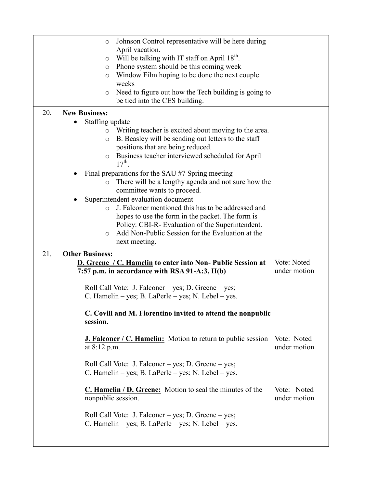|            | Johnson Control representative will be here during<br>$\circ$<br>April vacation.<br>Will be talking with IT staff on April 18 <sup>th</sup> .<br>O<br>Phone system should be this coming week<br>O<br>Window Film hoping to be done the next couple<br>O<br>weeks<br>Need to figure out how the Tech building is going to<br>$\circ$<br>be tied into the CES building.                                                                                                                                                                                                                                                                                                                                                                                                                                                                                                                                                                                                                                                                                                                                                                                                                                                                |                                                            |
|------------|---------------------------------------------------------------------------------------------------------------------------------------------------------------------------------------------------------------------------------------------------------------------------------------------------------------------------------------------------------------------------------------------------------------------------------------------------------------------------------------------------------------------------------------------------------------------------------------------------------------------------------------------------------------------------------------------------------------------------------------------------------------------------------------------------------------------------------------------------------------------------------------------------------------------------------------------------------------------------------------------------------------------------------------------------------------------------------------------------------------------------------------------------------------------------------------------------------------------------------------|------------------------------------------------------------|
| 20.<br>21. | <b>New Business:</b><br>Staffing update<br>Writing teacher is excited about moving to the area.<br>$\circ$<br>B. Beasley will be sending out letters to the staff<br>$\circ$<br>positions that are being reduced.<br>Business teacher interviewed scheduled for April<br>$\circ$<br>$17^{th}$<br>Final preparations for the SAU #7 Spring meeting<br>There will be a lengthy agenda and not sure how the<br>committee wants to proceed.<br>Superintendent evaluation document<br>J. Falconer mentioned this has to be addressed and<br>$\bigcirc$<br>hopes to use the form in the packet. The form is<br>Policy: CBI-R- Evaluation of the Superintendent.<br>Add Non-Public Session for the Evaluation at the<br>$\bigcirc$<br>next meeting.<br><b>Other Business:</b><br><b>D. Greene / C. Hamelin to enter into Non- Public Session at</b><br>7:57 p.m. in accordance with RSA 91-A:3, II(b)<br>Roll Call Vote: J. Falconer – yes; D. Greene – yes;<br>C. Hamelin – yes; B. LaPerle – yes; N. Lebel – yes.<br>C. Covill and M. Fiorentino invited to attend the nonpublic<br>session.<br><b>J. Falconer / C. Hamelin:</b> Motion to return to public session<br>at 8:12 p.m.<br>Roll Call Vote: J. Falconer – yes; D. Greene – yes; | Vote: Noted<br>under motion<br>Vote: Noted<br>under motion |
|            | C. Hamelin – yes; B. LaPerle – yes; N. Lebel – yes.<br>C. Hamelin / D. Greene: Motion to seal the minutes of the<br>nonpublic session.<br>Roll Call Vote: J. Falconer – yes; D. Greene – yes;<br>C. Hamelin – yes; B. LaPerle – yes; N. Lebel – yes.                                                                                                                                                                                                                                                                                                                                                                                                                                                                                                                                                                                                                                                                                                                                                                                                                                                                                                                                                                                  | Vote: Noted<br>under motion                                |